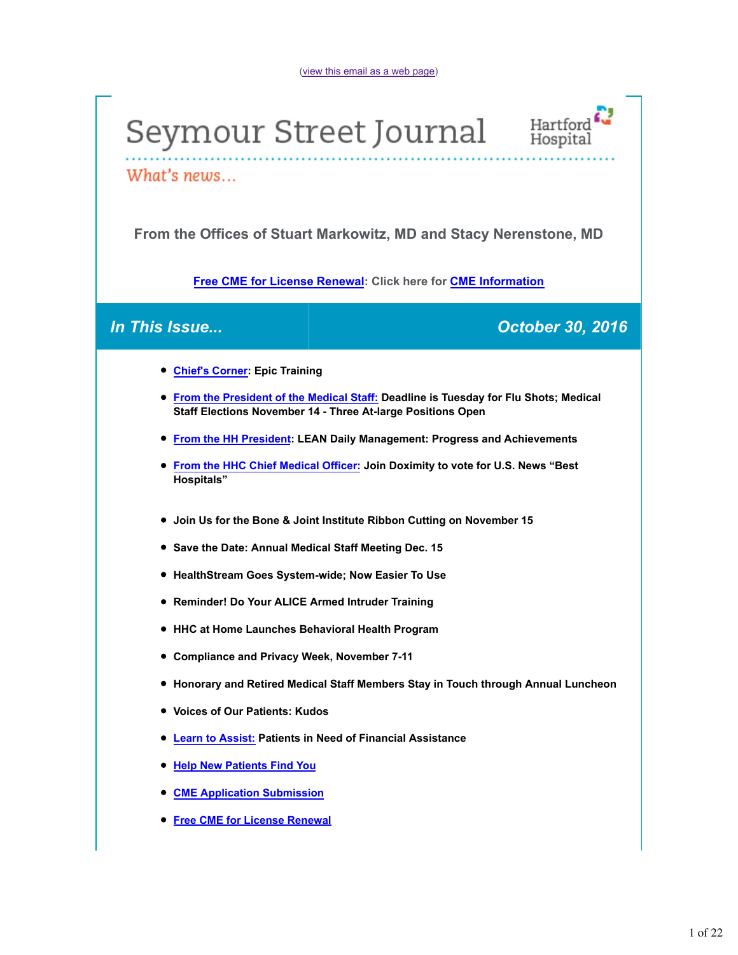# Seymour Street Journal



What's news...

**From the Offices of Stuart Markowitz, MD and Stacy Nerenstone, MD**

**Free CME for License Renewal: Click here for CME Information**

*In This Issue... October 30, 2016*

- **Chief's Corner: Epic Training**
- **From the President of the Medical Staff: Deadline is Tuesday for Flu Shots; Medical Staff Elections November 14 - Three At-large Positions Open**
- **From the HH President: LEAN Daily Management: Progress and Achievements**
- **From the HHC Chief Medical Officer: Join Doximity to vote for U.S. News "Best Hospitals"**
- **Join Us for the Bone & Joint Institute Ribbon Cutting on November 15**
- **Save the Date: Annual Medical Staff Meeting Dec. 15**
- **HealthStream Goes System-wide; Now Easier To Use**
- **Reminder! Do Your ALICE Armed Intruder Training**
- **HHC at Home Launches Behavioral Health Program**
- **Compliance and Privacy Week, November 7-11**
- **Honorary and Retired Medical Staff Members Stay in Touch through Annual Luncheon**
- **Voices of Our Patients: Kudos**
- **Learn to Assist: Patients in Need of Financial Assistance**
- **Help New Patients Find You**
- **CME Application Submission**
- **Free CME for License Renewal**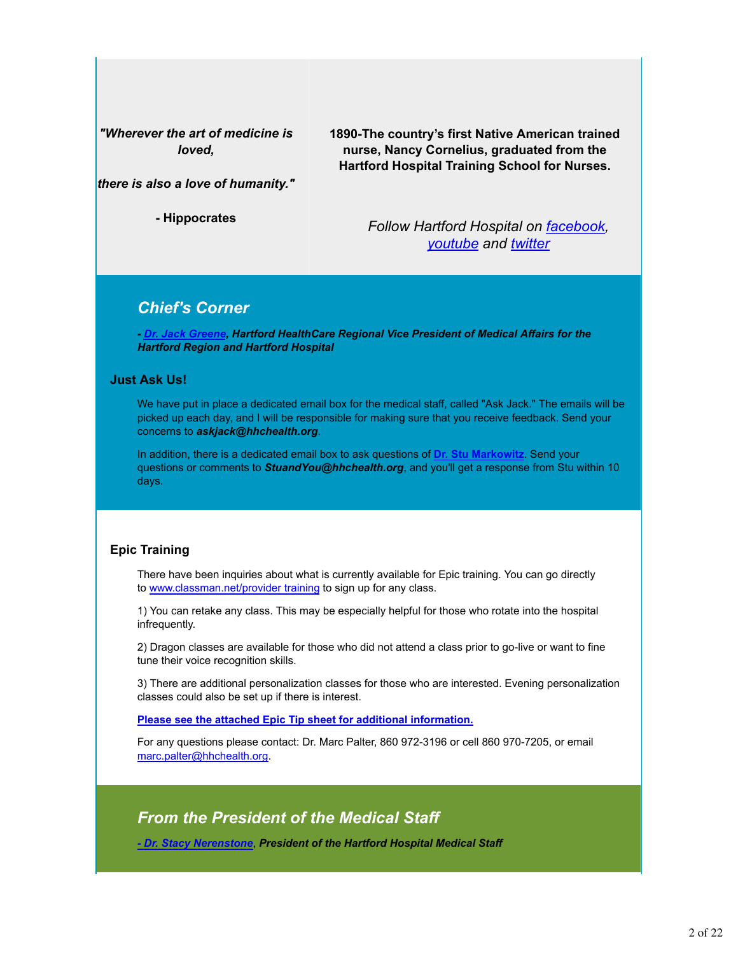*"Wherever the art of medicine is loved,*

**1890-The country's first Native American trained nurse, Nancy Cornelius, graduated from the Hartford Hospital Training School for Nurses.**

*there is also a love of humanity."*

**- Hippocrates**

*Follow Hartford Hospital on facebook, youtube and twitter*

### *Chief's Corner*

*- Dr. Jack Greene, Hartford HealthCare Regional Vice President of Medical Affairs for the Hartford Region and Hartford Hospital*

#### **Just Ask Us!**

We have put in place a dedicated email box for the medical staff, called "Ask Jack." The emails will be picked up each day, and I will be responsible for making sure that you receive feedback. Send your concerns to *askjack@hhchealth.org*.

In addition, there is a dedicated email box to ask questions of **Dr. Stu Markowitz**. Send your questions or comments to *StuandYou@hhchealth.org*, and you'll get a response from Stu within 10 days.

#### **Epic Training**

There have been inquiries about what is currently available for Epic training. You can go directly to www.classman.net/provider training to sign up for any class.

1) You can retake any class. This may be especially helpful for those who rotate into the hospital infrequently.

2) Dragon classes are available for those who did not attend a class prior to go-live or want to fine tune their voice recognition skills.

3) There are additional personalization classes for those who are interested. Evening personalization classes could also be set up if there is interest.

#### **Please see the attached Epic Tip sheet for additional information.**

For any questions please contact: Dr. Marc Palter, 860 972-3196 or cell 860 970-7205, or email marc.palter@hhchealth.org.

### *From the President of the Medical Staff*

*- Dr. Stacy Nerenstone*, *President of the Hartford Hospital Medical Staff*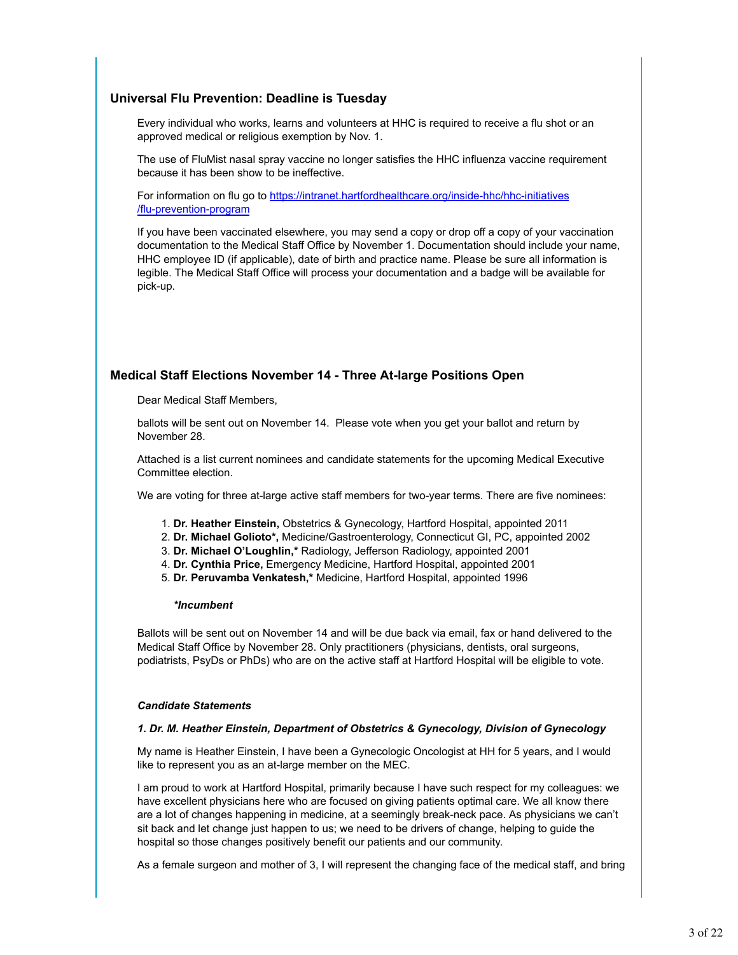#### **Universal Flu Prevention: Deadline is Tuesday**

Every individual who works, learns and volunteers at HHC is required to receive a flu shot or an approved medical or religious exemption by Nov. 1.

The use of FluMist nasal spray vaccine no longer satisfies the HHC influenza vaccine requirement because it has been show to be ineffective.

For information on flu go to https://intranet.hartfordhealthcare.org/inside-hhc/hhc-initiatives /flu-prevention-program

If you have been vaccinated elsewhere, you may send a copy or drop off a copy of your vaccination documentation to the Medical Staff Office by November 1. Documentation should include your name, HHC employee ID (if applicable), date of birth and practice name. Please be sure all information is legible. The Medical Staff Office will process your documentation and a badge will be available for pick-up.

#### **Medical Staff Elections November 14 - Three At-large Positions Open**

Dear Medical Staff Members,

ballots will be sent out on November 14. Please vote when you get your ballot and return by November 28.

Attached is a list current nominees and candidate statements for the upcoming Medical Executive Committee election.

We are voting for three at-large active staff members for two-year terms. There are five nominees:

- 1. **Dr. Heather Einstein,** Obstetrics & Gynecology, Hartford Hospital, appointed 2011
- 2. **Dr. Michael Golioto\*,** Medicine/Gastroenterology, Connecticut GI, PC, appointed 2002
- 3. **Dr. Michael O'Loughlin,\*** Radiology, Jefferson Radiology, appointed 2001
- 4. **Dr. Cynthia Price,** Emergency Medicine, Hartford Hospital, appointed 2001
- **Dr. Peruvamba Venkatesh,\*** Medicine, Hartford Hospital, appointed 1996 5.

#### *\*Incumbent*

Ballots will be sent out on November 14 and will be due back via email, fax or hand delivered to the Medical Staff Office by November 28. Only practitioners (physicians, dentists, oral surgeons, podiatrists, PsyDs or PhDs) who are on the active staff at Hartford Hospital will be eligible to vote.

#### *Candidate Statements*

#### *1. Dr. M. Heather Einstein, Department of Obstetrics & Gynecology, Division of Gynecology*

My name is Heather Einstein, I have been a Gynecologic Oncologist at HH for 5 years, and I would like to represent you as an at-large member on the MEC.

I am proud to work at Hartford Hospital, primarily because I have such respect for my colleagues: we have excellent physicians here who are focused on giving patients optimal care. We all know there are a lot of changes happening in medicine, at a seemingly break-neck pace. As physicians we can't sit back and let change just happen to us; we need to be drivers of change, helping to guide the hospital so those changes positively benefit our patients and our community.

As a female surgeon and mother of 3, I will represent the changing face of the medical staff, and bring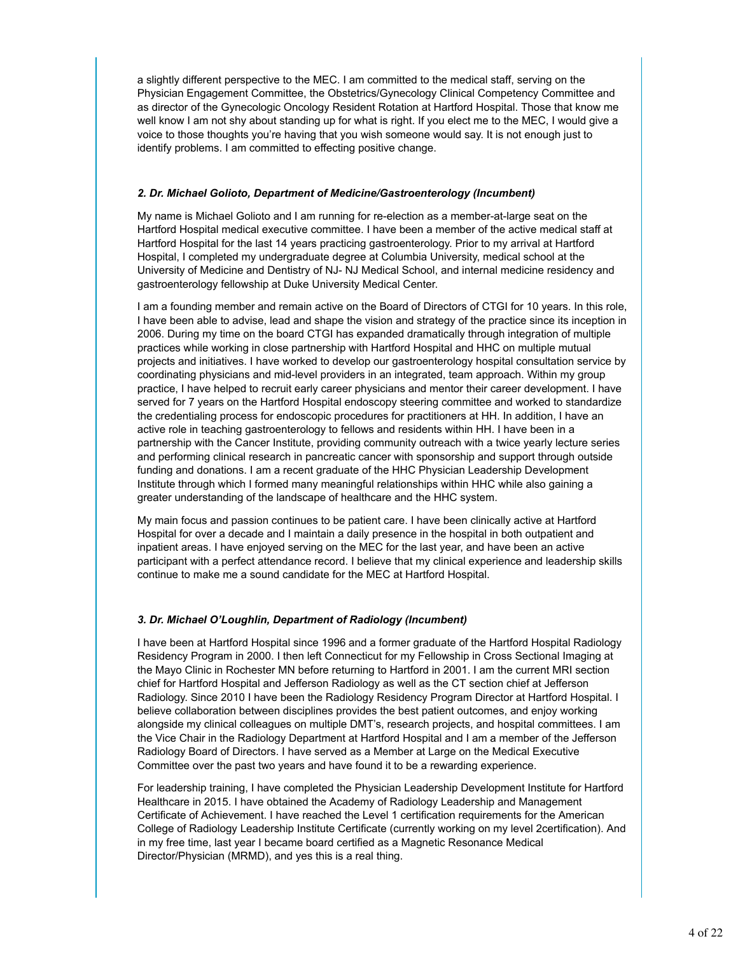a slightly different perspective to the MEC. I am committed to the medical staff, serving on the Physician Engagement Committee, the Obstetrics/Gynecology Clinical Competency Committee and as director of the Gynecologic Oncology Resident Rotation at Hartford Hospital. Those that know me well know I am not shy about standing up for what is right. If you elect me to the MEC, I would give a voice to those thoughts you're having that you wish someone would say. It is not enough just to identify problems. I am committed to effecting positive change.

#### *2. Dr. Michael Golioto, Department of Medicine/Gastroenterology (Incumbent)*

My name is Michael Golioto and I am running for re-election as a member-at-large seat on the Hartford Hospital medical executive committee. I have been a member of the active medical staff at Hartford Hospital for the last 14 years practicing gastroenterology. Prior to my arrival at Hartford Hospital, I completed my undergraduate degree at Columbia University, medical school at the University of Medicine and Dentistry of NJ- NJ Medical School, and internal medicine residency and gastroenterology fellowship at Duke University Medical Center.

I am a founding member and remain active on the Board of Directors of CTGI for 10 years. In this role, I have been able to advise, lead and shape the vision and strategy of the practice since its inception in 2006. During my time on the board CTGI has expanded dramatically through integration of multiple practices while working in close partnership with Hartford Hospital and HHC on multiple mutual projects and initiatives. I have worked to develop our gastroenterology hospital consultation service by coordinating physicians and mid-level providers in an integrated, team approach. Within my group practice, I have helped to recruit early career physicians and mentor their career development. I have served for 7 years on the Hartford Hospital endoscopy steering committee and worked to standardize the credentialing process for endoscopic procedures for practitioners at HH. In addition, I have an active role in teaching gastroenterology to fellows and residents within HH. I have been in a partnership with the Cancer Institute, providing community outreach with a twice yearly lecture series and performing clinical research in pancreatic cancer with sponsorship and support through outside funding and donations. I am a recent graduate of the HHC Physician Leadership Development Institute through which I formed many meaningful relationships within HHC while also gaining a greater understanding of the landscape of healthcare and the HHC system.

My main focus and passion continues to be patient care. I have been clinically active at Hartford Hospital for over a decade and I maintain a daily presence in the hospital in both outpatient and inpatient areas. I have enjoyed serving on the MEC for the last year, and have been an active participant with a perfect attendance record. I believe that my clinical experience and leadership skills continue to make me a sound candidate for the MEC at Hartford Hospital.

#### *3. Dr. Michael O'Loughlin, Department of Radiology (Incumbent)*

I have been at Hartford Hospital since 1996 and a former graduate of the Hartford Hospital Radiology Residency Program in 2000. I then left Connecticut for my Fellowship in Cross Sectional Imaging at the Mayo Clinic in Rochester MN before returning to Hartford in 2001. I am the current MRI section chief for Hartford Hospital and Jefferson Radiology as well as the CT section chief at Jefferson Radiology. Since 2010 I have been the Radiology Residency Program Director at Hartford Hospital. I believe collaboration between disciplines provides the best patient outcomes, and enjoy working alongside my clinical colleagues on multiple DMT's, research projects, and hospital committees. I am the Vice Chair in the Radiology Department at Hartford Hospital and I am a member of the Jefferson Radiology Board of Directors. I have served as a Member at Large on the Medical Executive Committee over the past two years and have found it to be a rewarding experience.

For leadership training, I have completed the Physician Leadership Development Institute for Hartford Healthcare in 2015. I have obtained the Academy of Radiology Leadership and Management Certificate of Achievement. I have reached the Level 1 certification requirements for the American College of Radiology Leadership Institute Certificate (currently working on my level 2certification). And in my free time, last year I became board certified as a Magnetic Resonance Medical Director/Physician (MRMD), and yes this is a real thing.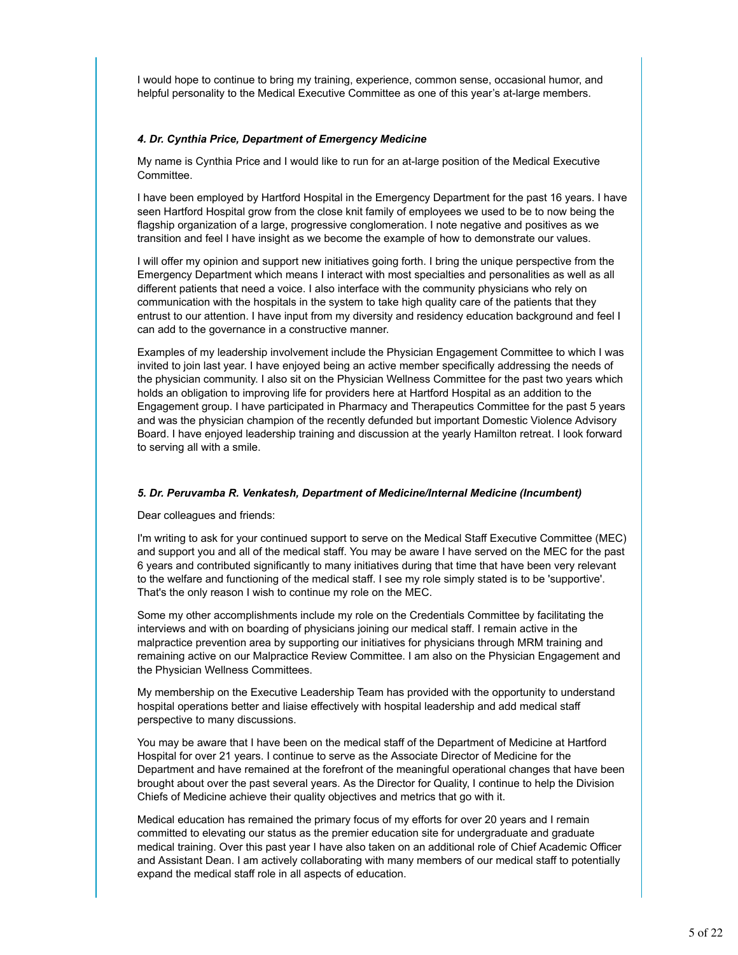I would hope to continue to bring my training, experience, common sense, occasional humor, and helpful personality to the Medical Executive Committee as one of this year's at-large members.

#### *4. Dr. Cynthia Price, Department of Emergency Medicine*

My name is Cynthia Price and I would like to run for an at-large position of the Medical Executive Committee.

I have been employed by Hartford Hospital in the Emergency Department for the past 16 years. I have seen Hartford Hospital grow from the close knit family of employees we used to be to now being the flagship organization of a large, progressive conglomeration. I note negative and positives as we transition and feel I have insight as we become the example of how to demonstrate our values.

I will offer my opinion and support new initiatives going forth. I bring the unique perspective from the Emergency Department which means I interact with most specialties and personalities as well as all different patients that need a voice. I also interface with the community physicians who rely on communication with the hospitals in the system to take high quality care of the patients that they entrust to our attention. I have input from my diversity and residency education background and feel I can add to the governance in a constructive manner.

Examples of my leadership involvement include the Physician Engagement Committee to which I was invited to join last year. I have enjoyed being an active member specifically addressing the needs of the physician community. I also sit on the Physician Wellness Committee for the past two years which holds an obligation to improving life for providers here at Hartford Hospital as an addition to the Engagement group. I have participated in Pharmacy and Therapeutics Committee for the past 5 years and was the physician champion of the recently defunded but important Domestic Violence Advisory Board. I have enjoyed leadership training and discussion at the yearly Hamilton retreat. I look forward to serving all with a smile.

#### *5. Dr. Peruvamba R. Venkatesh, Department of Medicine/Internal Medicine (Incumbent)*

Dear colleagues and friends:

I'm writing to ask for your continued support to serve on the Medical Staff Executive Committee (MEC) and support you and all of the medical staff. You may be aware I have served on the MEC for the past 6 years and contributed significantly to many initiatives during that time that have been very relevant to the welfare and functioning of the medical staff. I see my role simply stated is to be 'supportive'. That's the only reason I wish to continue my role on the MEC.

Some my other accomplishments include my role on the Credentials Committee by facilitating the interviews and with on boarding of physicians joining our medical staff. I remain active in the malpractice prevention area by supporting our initiatives for physicians through MRM training and remaining active on our Malpractice Review Committee. I am also on the Physician Engagement and the Physician Wellness Committees.

My membership on the Executive Leadership Team has provided with the opportunity to understand hospital operations better and liaise effectively with hospital leadership and add medical staff perspective to many discussions.

You may be aware that I have been on the medical staff of the Department of Medicine at Hartford Hospital for over 21 years. I continue to serve as the Associate Director of Medicine for the Department and have remained at the forefront of the meaningful operational changes that have been brought about over the past several years. As the Director for Quality, I continue to help the Division Chiefs of Medicine achieve their quality objectives and metrics that go with it.

Medical education has remained the primary focus of my efforts for over 20 years and I remain committed to elevating our status as the premier education site for undergraduate and graduate medical training. Over this past year I have also taken on an additional role of Chief Academic Officer and Assistant Dean. I am actively collaborating with many members of our medical staff to potentially expand the medical staff role in all aspects of education.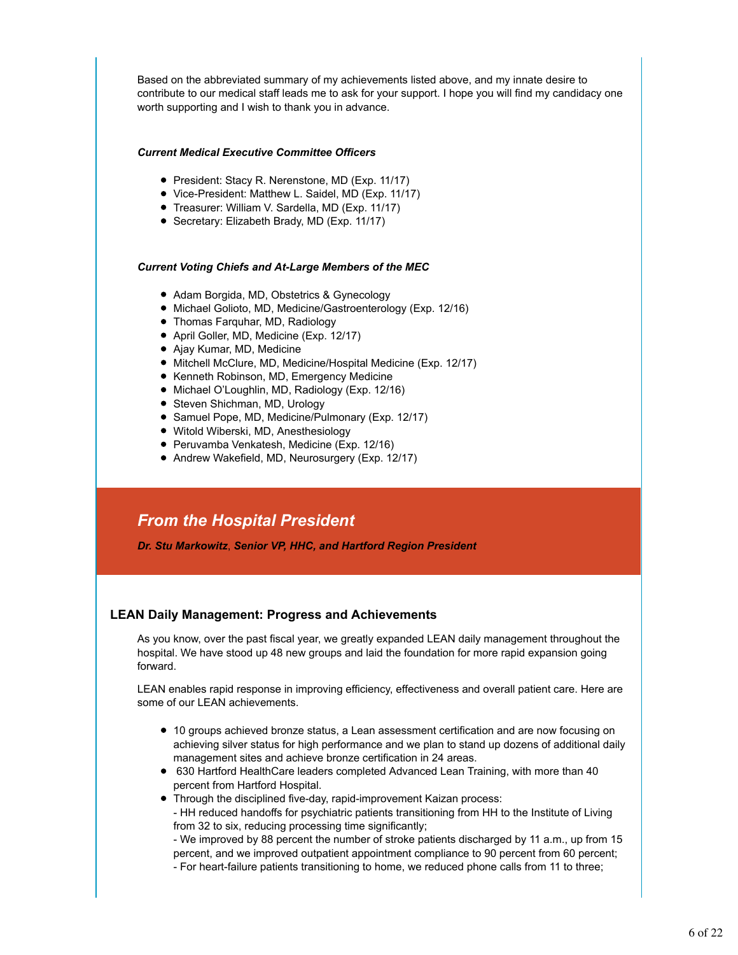Based on the abbreviated summary of my achievements listed above, and my innate desire to contribute to our medical staff leads me to ask for your support. I hope you will find my candidacy one worth supporting and I wish to thank you in advance.

#### *Current Medical Executive Committee Officers*

- President: Stacy R. Nerenstone, MD (Exp. 11/17)
- Vice-President: Matthew L. Saidel, MD (Exp. 11/17)
- Treasurer: William V. Sardella, MD (Exp. 11/17)
- Secretary: Elizabeth Brady, MD (Exp. 11/17)

#### *Current Voting Chiefs and At-Large Members of the MEC*

- Adam Borgida, MD, Obstetrics & Gynecology
- Michael Golioto, MD, Medicine/Gastroenterology (Exp. 12/16)
- Thomas Farquhar, MD, Radiology
- April Goller, MD, Medicine (Exp. 12/17)
- Ajay Kumar, MD, Medicine
- Mitchell McClure, MD, Medicine/Hospital Medicine (Exp. 12/17)
- Kenneth Robinson, MD, Emergency Medicine
- Michael O'Loughlin, MD, Radiology (Exp. 12/16)
- Steven Shichman, MD, Urology
- Samuel Pope, MD, Medicine/Pulmonary (Exp. 12/17)
- Witold Wiberski, MD, Anesthesiology
- Peruvamba Venkatesh, Medicine (Exp. 12/16)
- Andrew Wakefield, MD, Neurosurgery (Exp. 12/17)

### *From the Hospital President*

*Dr. Stu Markowitz*, *Senior VP, HHC, and Hartford Region President*

#### **LEAN Daily Management: Progress and Achievements**

As you know, over the past fiscal year, we greatly expanded LEAN daily management throughout the hospital. We have stood up 48 new groups and laid the foundation for more rapid expansion going forward.

LEAN enables rapid response in improving efficiency, effectiveness and overall patient care. Here are some of our LEAN achievements.

- 10 groups achieved bronze status, a Lean assessment certification and are now focusing on achieving silver status for high performance and we plan to stand up dozens of additional daily management sites and achieve bronze certification in 24 areas.
- 630 Hartford HealthCare leaders completed Advanced Lean Training, with more than 40 percent from Hartford Hospital.
- Through the disciplined five-day, rapid-improvement Kaizan process: - HH reduced handoffs for psychiatric patients transitioning from HH to the Institute of Living from 32 to six, reducing processing time significantly;

- We improved by 88 percent the number of stroke patients discharged by 11 a.m., up from 15 percent, and we improved outpatient appointment compliance to 90 percent from 60 percent; - For heart-failure patients transitioning to home, we reduced phone calls from 11 to three;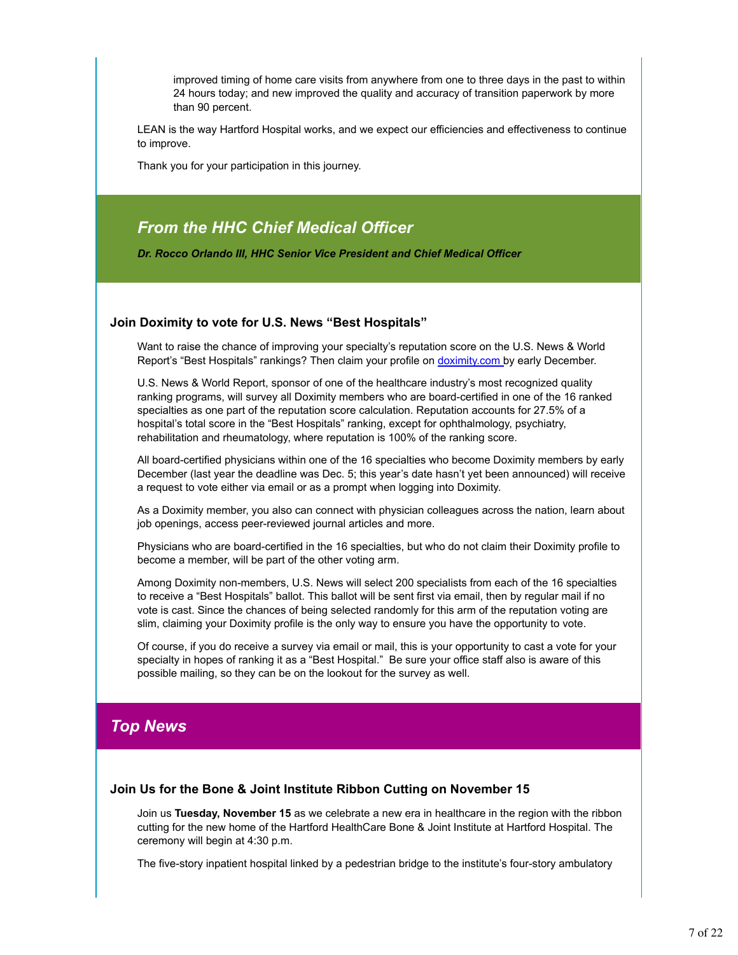improved timing of home care visits from anywhere from one to three days in the past to within 24 hours today; and new improved the quality and accuracy of transition paperwork by more than 90 percent.

LEAN is the way Hartford Hospital works, and we expect our efficiencies and effectiveness to continue to improve.

Thank you for your participation in this journey.

### *From the HHC Chief Medical Officer*

*Dr. Rocco Orlando III, HHC Senior Vice President and Chief Medical Officer*

#### **Join Doximity to vote for U.S. News "Best Hospitals"**

Want to raise the chance of improving your specialty's reputation score on the U.S. News & World Report's "Best Hospitals" rankings? Then claim your profile on doximity.com by early December.

U.S. News & World Report, sponsor of one of the healthcare industry's most recognized quality ranking programs, will survey all Doximity members who are board-certified in one of the 16 ranked specialties as one part of the reputation score calculation. Reputation accounts for 27.5% of a hospital's total score in the "Best Hospitals" ranking, except for ophthalmology, psychiatry, rehabilitation and rheumatology, where reputation is 100% of the ranking score.

All board-certified physicians within one of the 16 specialties who become Doximity members by early December (last year the deadline was Dec. 5; this year's date hasn't yet been announced) will receive a request to vote either via email or as a prompt when logging into Doximity.

As a Doximity member, you also can connect with physician colleagues across the nation, learn about job openings, access peer-reviewed journal articles and more.

Physicians who are board-certified in the 16 specialties, but who do not claim their Doximity profile to become a member, will be part of the other voting arm.

Among Doximity non-members, U.S. News will select 200 specialists from each of the 16 specialties to receive a "Best Hospitals" ballot. This ballot will be sent first via email, then by regular mail if no vote is cast. Since the chances of being selected randomly for this arm of the reputation voting are slim, claiming your Doximity profile is the only way to ensure you have the opportunity to vote.

Of course, if you do receive a survey via email or mail, this is your opportunity to cast a vote for your specialty in hopes of ranking it as a "Best Hospital." Be sure your office staff also is aware of this possible mailing, so they can be on the lookout for the survey as well.

### *Top News*

#### **Join Us for the Bone & Joint Institute Ribbon Cutting on November 15**

Join us **Tuesday, November 15** as we celebrate a new era in healthcare in the region with the ribbon cutting for the new home of the Hartford HealthCare Bone & Joint Institute at Hartford Hospital. The ceremony will begin at 4:30 p.m.

The five-story inpatient hospital linked by a pedestrian bridge to the institute's four-story ambulatory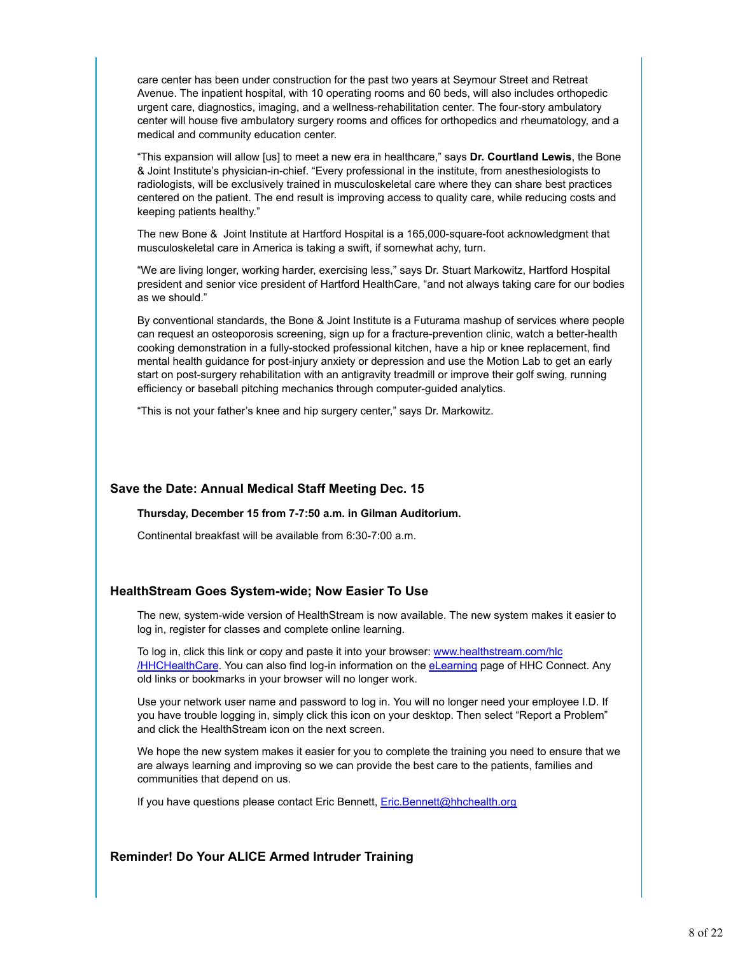care center has been under construction for the past two years at Seymour Street and Retreat Avenue. The inpatient hospital, with 10 operating rooms and 60 beds, will also includes orthopedic urgent care, diagnostics, imaging, and a wellness-rehabilitation center. The four-story ambulatory center will house five ambulatory surgery rooms and offices for orthopedics and rheumatology, and a medical and community education center.

"This expansion will allow [us] to meet a new era in healthcare," says **Dr. Courtland Lewis**, the Bone & Joint Institute's physician-in-chief. "Every professional in the institute, from anesthesiologists to radiologists, will be exclusively trained in musculoskeletal care where they can share best practices centered on the patient. The end result is improving access to quality care, while reducing costs and keeping patients healthy."

The new Bone & Joint Institute at Hartford Hospital is a 165,000-square-foot acknowledgment that musculoskeletal care in America is taking a swift, if somewhat achy, turn.

"We are living longer, working harder, exercising less," says Dr. Stuart Markowitz, Hartford Hospital president and senior vice president of Hartford HealthCare, "and not always taking care for our bodies as we should."

By conventional standards, the Bone & Joint Institute is a Futurama mashup of services where people can request an osteoporosis screening, sign up for a fracture-prevention clinic, watch a better-health cooking demonstration in a fully-stocked professional kitchen, have a hip or knee replacement, find mental health guidance for post-injury anxiety or depression and use the Motion Lab to get an early start on post-surgery rehabilitation with an antigravity treadmill or improve their golf swing, running efficiency or baseball pitching mechanics through computer-guided analytics.

"This is not your father's knee and hip surgery center," says Dr. Markowitz.

#### **Save the Date: Annual Medical Staff Meeting Dec. 15**

#### **Thursday, December 15 from 7-7:50 a.m. in Gilman Auditorium.**

Continental breakfast will be available from 6:30-7:00 a.m.

#### **HealthStream Goes System-wide; Now Easier To Use**

The new, system-wide version of HealthStream is now available. The new system makes it easier to log in, register for classes and complete online learning.

To log in, click this link or copy and paste it into your browser: www.healthstream.com/hlc /HHCHealthCare. You can also find log-in information on the eLearning page of HHC Connect. Any old links or bookmarks in your browser will no longer work.

Use your network user name and password to log in. You will no longer need your employee I.D. If you have trouble logging in, simply click this icon on your desktop. Then select "Report a Problem" and click the HealthStream icon on the next screen.

We hope the new system makes it easier for you to complete the training you need to ensure that we are always learning and improving so we can provide the best care to the patients, families and communities that depend on us.

If you have questions please contact Eric Bennett, Eric.Bennett@hhchealth.org

#### **Reminder! Do Your ALICE Armed Intruder Training**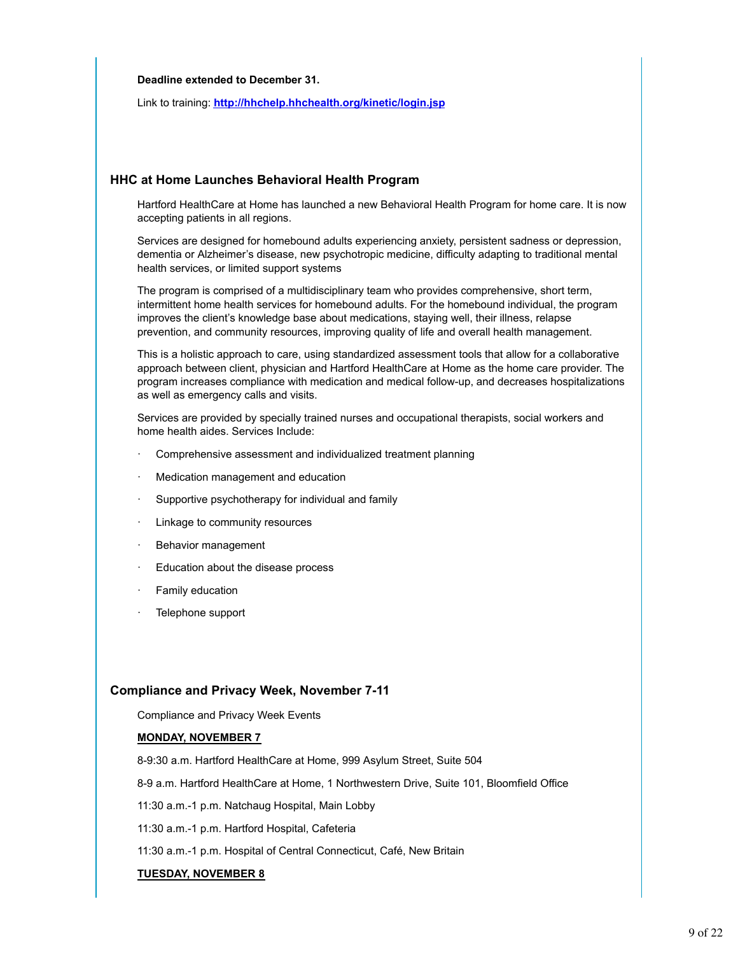#### **Deadline extended to December 31.**

Link to training: **http://hhchelp.hhchealth.org/kinetic/login.jsp**

#### **HHC at Home Launches Behavioral Health Program**

Hartford HealthCare at Home has launched a new Behavioral Health Program for home care. It is now accepting patients in all regions.

Services are designed for homebound adults experiencing anxiety, persistent sadness or depression, dementia or Alzheimer's disease, new psychotropic medicine, difficulty adapting to traditional mental health services, or limited support systems

The program is comprised of a multidisciplinary team who provides comprehensive, short term, intermittent home health services for homebound adults. For the homebound individual, the program improves the client's knowledge base about medications, staying well, their illness, relapse prevention, and community resources, improving quality of life and overall health management.

This is a holistic approach to care, using standardized assessment tools that allow for a collaborative approach between client, physician and Hartford HealthCare at Home as the home care provider. The program increases compliance with medication and medical follow-up, and decreases hospitalizations as well as emergency calls and visits.

Services are provided by specially trained nurses and occupational therapists, social workers and home health aides. Services Include:

- Comprehensive assessment and individualized treatment planning
- Medication management and education
- Supportive psychotherapy for individual and family
- Linkage to community resources
- Behavior management
- Education about the disease process
- Family education
- Telephone support

#### **Compliance and Privacy Week, November 7-11**

Compliance and Privacy Week Events

#### **MONDAY, NOVEMBER 7**

8-9:30 a.m. Hartford HealthCare at Home, 999 Asylum Street, Suite 504

8-9 a.m. Hartford HealthCare at Home, 1 Northwestern Drive, Suite 101, Bloomfield Office

11:30 a.m.-1 p.m. Natchaug Hospital, Main Lobby

11:30 a.m.-1 p.m. Hartford Hospital, Cafeteria

11:30 a.m.-1 p.m. Hospital of Central Connecticut, Café, New Britain

#### **TUESDAY, NOVEMBER 8**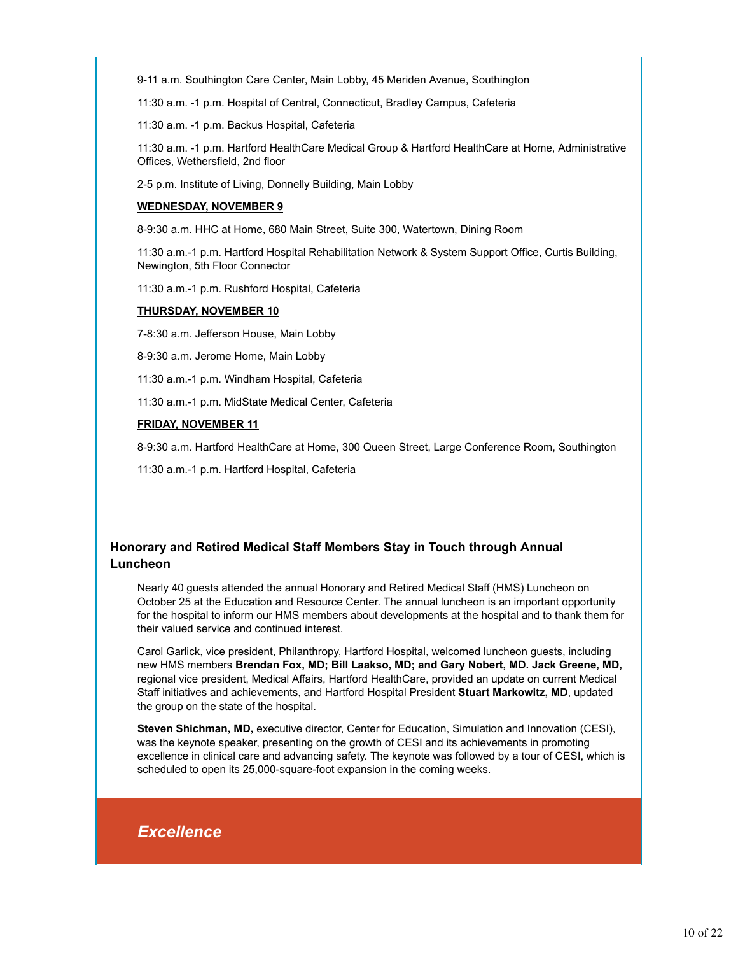9-11 a.m. Southington Care Center, Main Lobby, 45 Meriden Avenue, Southington

11:30 a.m. -1 p.m. Hospital of Central, Connecticut, Bradley Campus, Cafeteria

11:30 a.m. -1 p.m. Backus Hospital, Cafeteria

11:30 a.m. -1 p.m. Hartford HealthCare Medical Group & Hartford HealthCare at Home, Administrative Offices, Wethersfield, 2nd floor

2-5 p.m. Institute of Living, Donnelly Building, Main Lobby

#### **WEDNESDAY, NOVEMBER 9**

8-9:30 a.m. HHC at Home, 680 Main Street, Suite 300, Watertown, Dining Room

11:30 a.m.-1 p.m. Hartford Hospital Rehabilitation Network & System Support Office, Curtis Building, Newington, 5th Floor Connector

11:30 a.m.-1 p.m. Rushford Hospital, Cafeteria

#### **THURSDAY, NOVEMBER 10**

7-8:30 a.m. Jefferson House, Main Lobby

8-9:30 a.m. Jerome Home, Main Lobby

11:30 a.m.-1 p.m. Windham Hospital, Cafeteria

11:30 a.m.-1 p.m. MidState Medical Center, Cafeteria

#### **FRIDAY, NOVEMBER 11**

8-9:30 a.m. Hartford HealthCare at Home, 300 Queen Street, Large Conference Room, Southington

11:30 a.m.-1 p.m. Hartford Hospital, Cafeteria

#### **Honorary and Retired Medical Staff Members Stay in Touch through Annual Luncheon**

Nearly 40 guests attended the annual Honorary and Retired Medical Staff (HMS) Luncheon on October 25 at the Education and Resource Center. The annual luncheon is an important opportunity for the hospital to inform our HMS members about developments at the hospital and to thank them for their valued service and continued interest.

Carol Garlick, vice president, Philanthropy, Hartford Hospital, welcomed luncheon guests, including new HMS members **Brendan Fox, MD; Bill Laakso, MD; and Gary Nobert, MD. Jack Greene, MD,** regional vice president, Medical Affairs, Hartford HealthCare, provided an update on current Medical Staff initiatives and achievements, and Hartford Hospital President **Stuart Markowitz, MD**, updated the group on the state of the hospital.

**Steven Shichman, MD,** executive director, Center for Education, Simulation and Innovation (CESI), was the keynote speaker, presenting on the growth of CESI and its achievements in promoting excellence in clinical care and advancing safety. The keynote was followed by a tour of CESI, which is scheduled to open its 25,000-square-foot expansion in the coming weeks.

### *Excellence*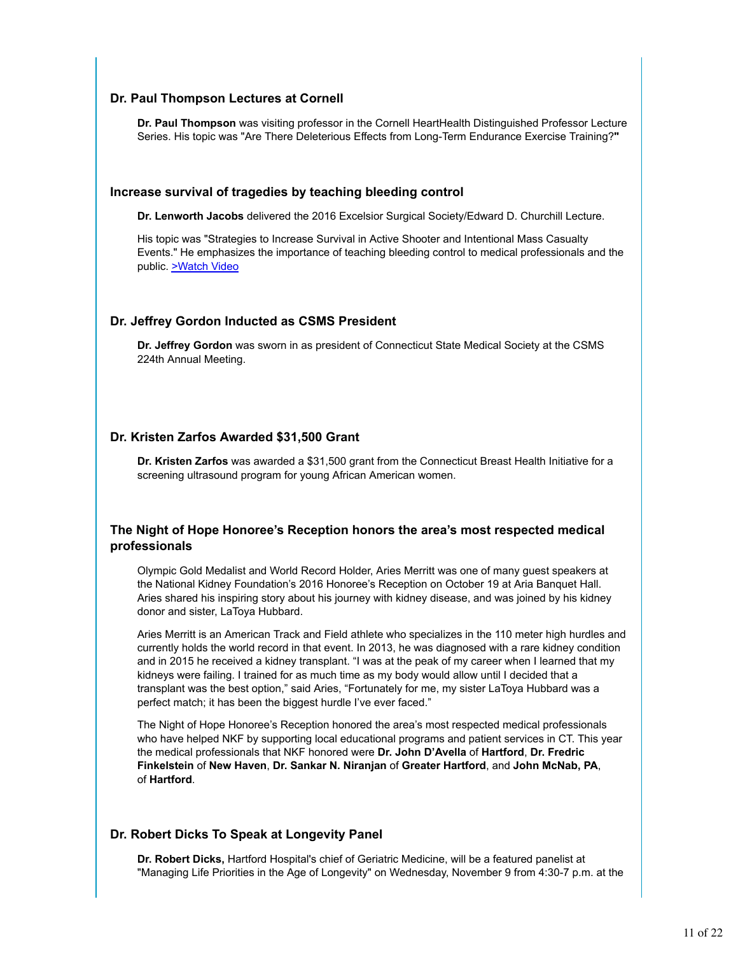#### **Dr. Paul Thompson Lectures at Cornell**

**Dr. Paul Thompson** was visiting professor in the Cornell HeartHealth Distinguished Professor Lecture Series. His topic was "Are There Deleterious Effects from Long-Term Endurance Exercise Training?**"**

#### **Increase survival of tragedies by teaching bleeding control**

**Dr. Lenworth Jacobs** delivered the 2016 Excelsior Surgical Society/Edward D. Churchill Lecture.

His topic was "Strategies to Increase Survival in Active Shooter and Intentional Mass Casualty Events." He emphasizes the importance of teaching bleeding control to medical professionals and the public. >Watch Video

#### **Dr. Jeffrey Gordon Inducted as CSMS President**

**Dr. Jeffrey Gordon** was sworn in as president of Connecticut State Medical Society at the CSMS 224th Annual Meeting.

#### **Dr. Kristen Zarfos Awarded \$31,500 Grant**

**Dr. Kristen Zarfos** was awarded a \$31,500 grant from the Connecticut Breast Health Initiative for a screening ultrasound program for young African American women.

#### **The Night of Hope Honoree's Reception honors the area's most respected medical professionals**

Olympic Gold Medalist and World Record Holder, Aries Merritt was one of many guest speakers at the National Kidney Foundation's 2016 Honoree's Reception on October 19 at Aria Banquet Hall. Aries shared his inspiring story about his journey with kidney disease, and was joined by his kidney donor and sister, LaToya Hubbard.

Aries Merritt is an American Track and Field athlete who specializes in the 110 meter high hurdles and currently holds the world record in that event. In 2013, he was diagnosed with a rare kidney condition and in 2015 he received a kidney transplant. "I was at the peak of my career when I learned that my kidneys were failing. I trained for as much time as my body would allow until I decided that a transplant was the best option," said Aries, "Fortunately for me, my sister LaToya Hubbard was a perfect match; it has been the biggest hurdle I've ever faced."

The Night of Hope Honoree's Reception honored the area's most respected medical professionals who have helped NKF by supporting local educational programs and patient services in CT. This year the medical professionals that NKF honored were **Dr. John D'Avella** of **Hartford**, **Dr. Fredric Finkelstein** of **New Haven**, **Dr. Sankar N. Niranjan** of **Greater Hartford**, and **John McNab, PA**, of **Hartford**.

#### **Dr. Robert Dicks To Speak at Longevity Panel**

**Dr. Robert Dicks,** Hartford Hospital's chief of Geriatric Medicine, will be a featured panelist at "Managing Life Priorities in the Age of Longevity" on Wednesday, November 9 from 4:30-7 p.m. at the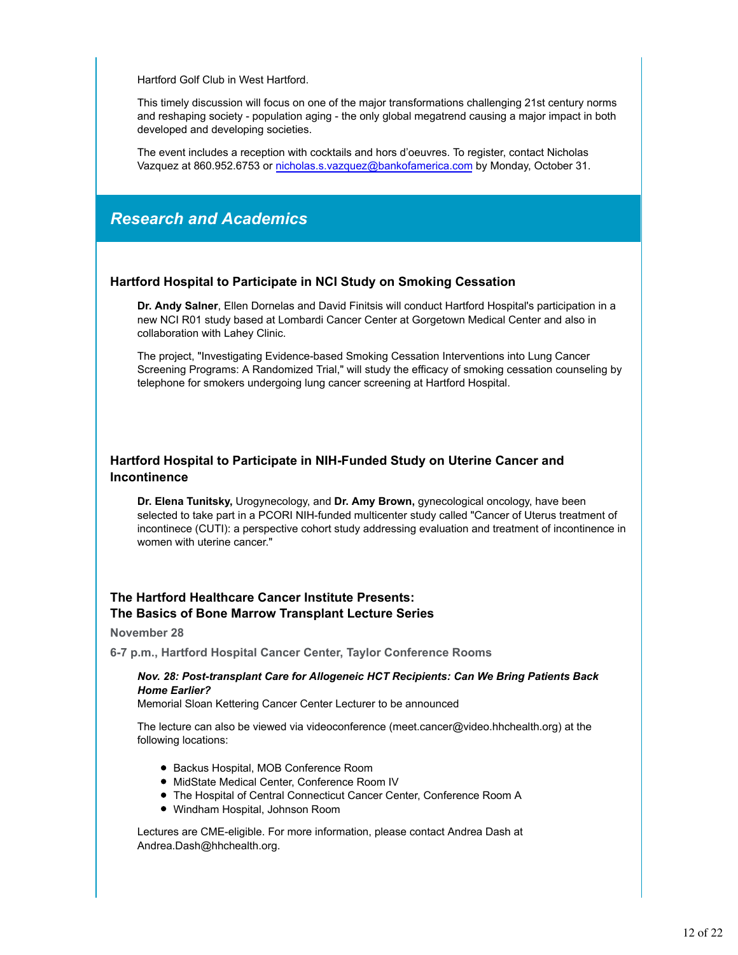Hartford Golf Club in West Hartford.

This timely discussion will focus on one of the major transformations challenging 21st century norms and reshaping society - population aging - the only global megatrend causing a major impact in both developed and developing societies.

The event includes a reception with cocktails and hors d'oeuvres. To register, contact Nicholas Vazquez at 860.952.6753 or nicholas.s.vazquez@bankofamerica.com by Monday, October 31.

### *Research and Academics*

#### **Hartford Hospital to Participate in NCI Study on Smoking Cessation**

**Dr. Andy Salner**, Ellen Dornelas and David Finitsis will conduct Hartford Hospital's participation in a new NCI R01 study based at Lombardi Cancer Center at Gorgetown Medical Center and also in collaboration with Lahey Clinic.

The project, "Investigating Evidence-based Smoking Cessation Interventions into Lung Cancer Screening Programs: A Randomized Trial," will study the efficacy of smoking cessation counseling by telephone for smokers undergoing lung cancer screening at Hartford Hospital.

#### **Hartford Hospital to Participate in NIH-Funded Study on Uterine Cancer and Incontinence**

**Dr. Elena Tunitsky,** Urogynecology, and **Dr. Amy Brown,** gynecological oncology, have been selected to take part in a PCORI NIH-funded multicenter study called "Cancer of Uterus treatment of incontinece (CUTI): a perspective cohort study addressing evaluation and treatment of incontinence in women with uterine cancer."

#### **The Hartford Healthcare Cancer Institute Presents: The Basics of Bone Marrow Transplant Lecture Series**

#### **November 28**

**6-7 p.m., Hartford Hospital Cancer Center, Taylor Conference Rooms**

#### *Nov. 28: Post-transplant Care for Allogeneic HCT Recipients: Can We Bring Patients Back Home Earlier?*

Memorial Sloan Kettering Cancer Center Lecturer to be announced

The lecture can also be viewed via videoconference (meet.cancer@video.hhchealth.org) at the following locations:

- Backus Hospital, MOB Conference Room
- MidState Medical Center, Conference Room IV
- The Hospital of Central Connecticut Cancer Center, Conference Room A
- Windham Hospital, Johnson Room

Lectures are CME-eligible. For more information, please contact Andrea Dash at Andrea.Dash@hhchealth.org.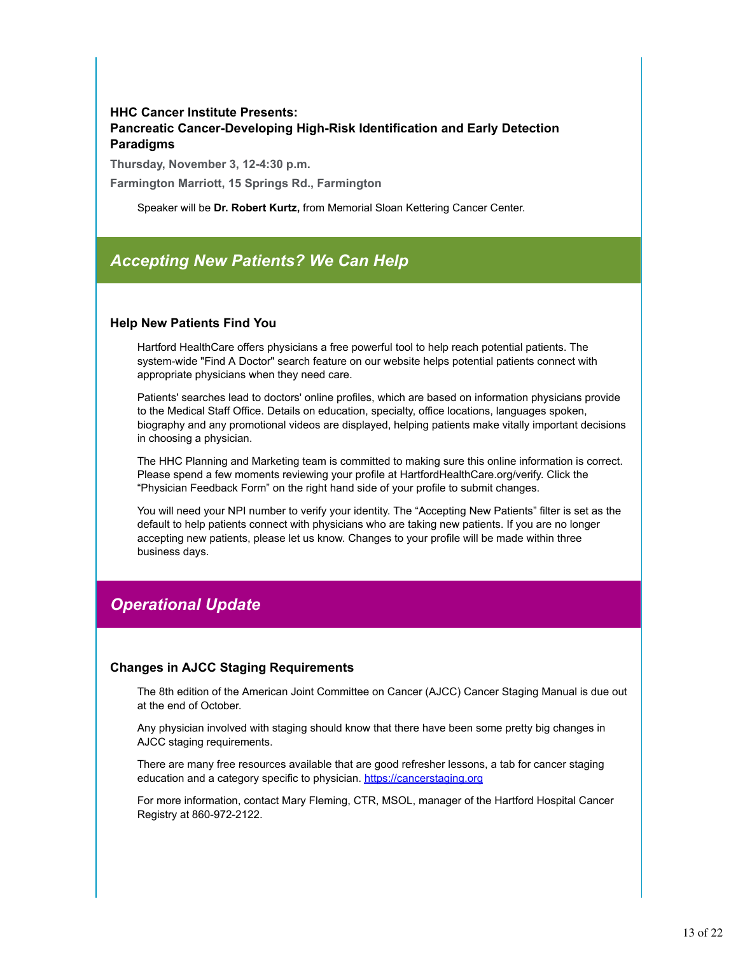### **HHC Cancer Institute Presents: Pancreatic Cancer-Developing High-Risk Identification and Early Detection Paradigms**

**Thursday, November 3, 12-4:30 p.m.**

**Farmington Marriott, 15 Springs Rd., Farmington**

Speaker will be **Dr. Robert Kurtz,** from Memorial Sloan Kettering Cancer Center.

### *Accepting New Patients? We Can Help*

#### **Help New Patients Find You**

Hartford HealthCare offers physicians a free powerful tool to help reach potential patients. The system-wide "Find A Doctor" search feature on our website helps potential patients connect with appropriate physicians when they need care.

Patients' searches lead to doctors' online profiles, which are based on information physicians provide to the Medical Staff Office. Details on education, specialty, office locations, languages spoken, biography and any promotional videos are displayed, helping patients make vitally important decisions in choosing a physician.

The HHC Planning and Marketing team is committed to making sure this online information is correct. Please spend a few moments reviewing your profile at HartfordHealthCare.org/verify. Click the "Physician Feedback Form" on the right hand side of your profile to submit changes.

You will need your NPI number to verify your identity. The "Accepting New Patients" filter is set as the default to help patients connect with physicians who are taking new patients. If you are no longer accepting new patients, please let us know. Changes to your profile will be made within three business days.

### *Operational Update*

#### **Changes in AJCC Staging Requirements**

The 8th edition of the American Joint Committee on Cancer (AJCC) Cancer Staging Manual is due out at the end of October.

Any physician involved with staging should know that there have been some pretty big changes in AJCC staging requirements.

There are many free resources available that are good refresher lessons, a tab for cancer staging education and a category specific to physician. https://cancerstaging.org

For more information, contact Mary Fleming, CTR, MSOL, manager of the Hartford Hospital Cancer Registry at 860-972-2122.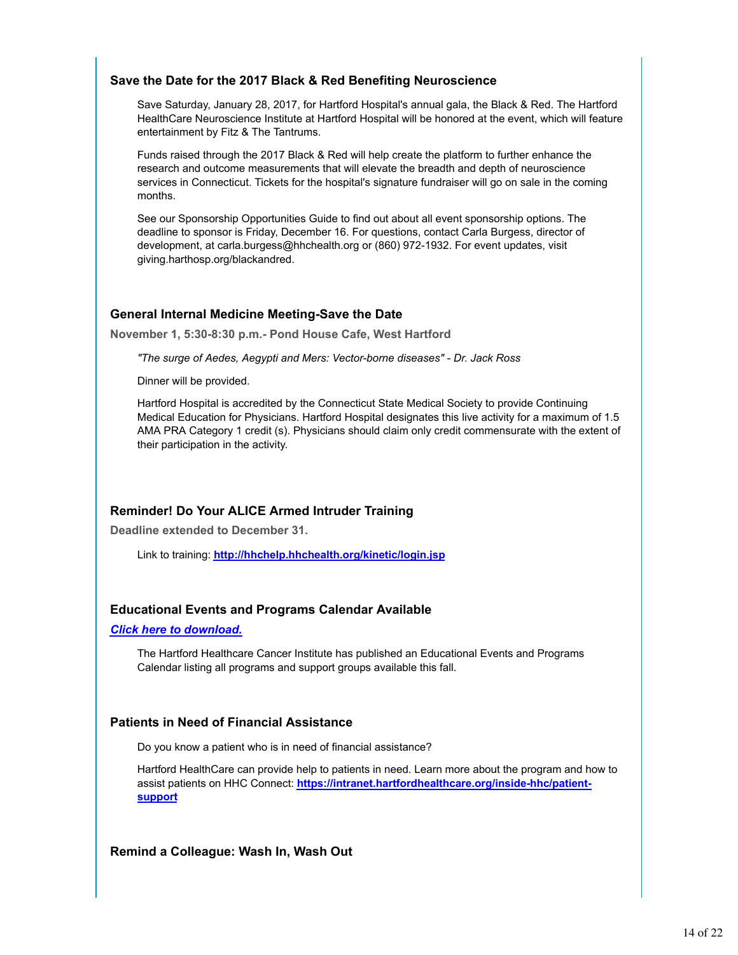#### **Save the Date for the 2017 Black & Red Benefiting Neuroscience**

Save Saturday, January 28, 2017, for Hartford Hospital's annual gala, the Black & Red. The Hartford HealthCare Neuroscience Institute at Hartford Hospital will be honored at the event, which will feature entertainment by Fitz & The Tantrums.

Funds raised through the 2017 Black & Red will help create the platform to further enhance the research and outcome measurements that will elevate the breadth and depth of neuroscience services in Connecticut. Tickets for the hospital's signature fundraiser will go on sale in the coming months.

See our Sponsorship Opportunities Guide to find out about all event sponsorship options. The deadline to sponsor is Friday, December 16. For questions, contact Carla Burgess, director of development, at carla.burgess@hhchealth.org or (860) 972-1932. For event updates, visit giving.harthosp.org/blackandred.

#### **General Internal Medicine Meeting-Save the Date**

**November 1, 5:30-8:30 p.m.- Pond House Cafe, West Hartford**

*"The surge of Aedes, Aegypti and Mers: Vector-borne diseases" - Dr. Jack Ross*

Dinner will be provided.

Hartford Hospital is accredited by the Connecticut State Medical Society to provide Continuing Medical Education for Physicians. Hartford Hospital designates this live activity for a maximum of 1.5 AMA PRA Category 1 credit (s). Physicians should claim only credit commensurate with the extent of their participation in the activity.

### **Reminder! Do Your ALICE Armed Intruder Training**

**Deadline extended to December 31.**

Link to training: **http://hhchelp.hhchealth.org/kinetic/login.jsp**

#### **Educational Events and Programs Calendar Available**

#### *Click here to download.*

The Hartford Healthcare Cancer Institute has published an Educational Events and Programs Calendar listing all programs and support groups available this fall.

#### **Patients in Need of Financial Assistance**

Do you know a patient who is in need of financial assistance?

Hartford HealthCare can provide help to patients in need. Learn more about the program and how to assist patients on HHC Connect: **https://intranet.hartfordhealthcare.org/inside-hhc/patientsupport**

**Remind a Colleague: Wash In, Wash Out**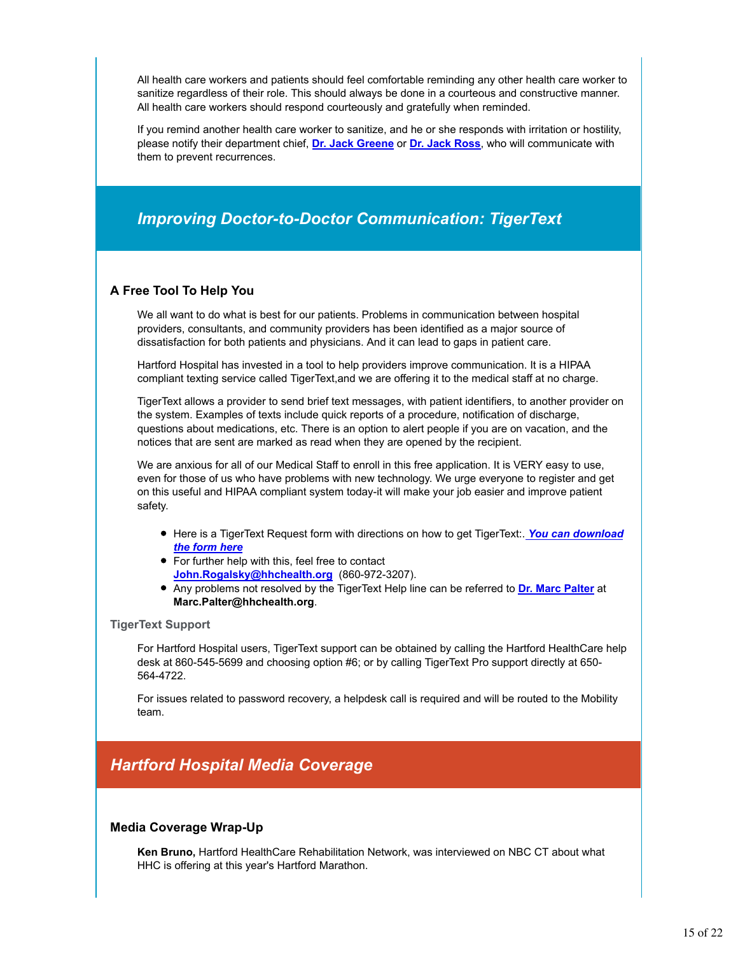All health care workers and patients should feel comfortable reminding any other health care worker to sanitize regardless of their role. This should always be done in a courteous and constructive manner. All health care workers should respond courteously and gratefully when reminded.

If you remind another health care worker to sanitize, and he or she responds with irritation or hostility, please notify their department chief, **Dr. Jack Greene** or **Dr. Jack Ross**, who will communicate with them to prevent recurrences.

### *Improving Doctor-to-Doctor Communication: TigerText*

#### **A Free Tool To Help You**

We all want to do what is best for our patients. Problems in communication between hospital providers, consultants, and community providers has been identified as a major source of dissatisfaction for both patients and physicians. And it can lead to gaps in patient care.

Hartford Hospital has invested in a tool to help providers improve communication. It is a HIPAA compliant texting service called TigerText,and we are offering it to the medical staff at no charge.

TigerText allows a provider to send brief text messages, with patient identifiers, to another provider on the system. Examples of texts include quick reports of a procedure, notification of discharge, questions about medications, etc. There is an option to alert people if you are on vacation, and the notices that are sent are marked as read when they are opened by the recipient.

We are anxious for all of our Medical Staff to enroll in this free application. It is VERY easy to use, even for those of us who have problems with new technology. We urge everyone to register and get on this useful and HIPAA compliant system today-it will make your job easier and improve patient safety.

- **Here is a TigerText Request form with directions on how to get TigerText:. You can download** *the form here*
- For further help with this, feel free to contact **John.Rogalsky@hhchealth.org** (860-972-3207).
- Any problems not resolved by the TigerText Help line can be referred to **Dr. Marc Palter** at **Marc.Palter@hhchealth.org**.

#### **TigerText Support**

For Hartford Hospital users, TigerText support can be obtained by calling the Hartford HealthCare help desk at 860-545-5699 and choosing option #6; or by calling TigerText Pro support directly at 650- 564-4722.

For issues related to password recovery, a helpdesk call is required and will be routed to the Mobility team.

### *Hartford Hospital Media Coverage*

#### **Media Coverage Wrap-Up**

**Ken Bruno,** Hartford HealthCare Rehabilitation Network, was interviewed on NBC CT about what HHC is offering at this year's Hartford Marathon.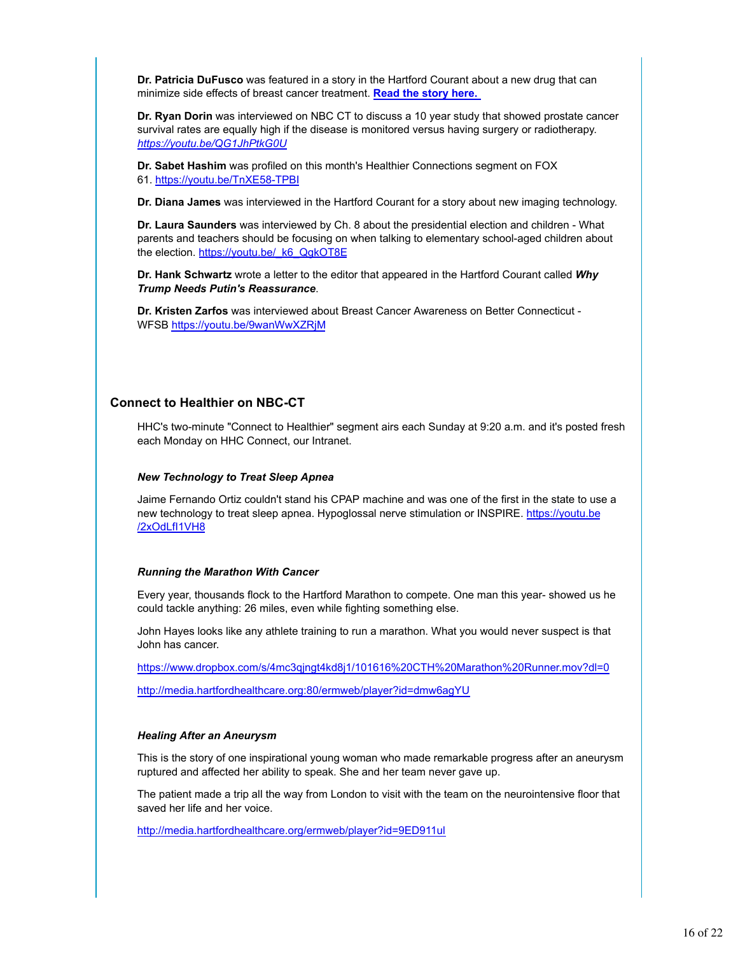**Dr. Patricia DuFusco** was featured in a story in the Hartford Courant about a new drug that can minimize side effects of breast cancer treatment. **Read the story here.** 

**Dr. Ryan Dorin** was interviewed on NBC CT to discuss a 10 year study that showed prostate cancer survival rates are equally high if the disease is monitored versus having surgery or radiotherapy. *https://youtu.be/QG1JhPtkG0U*

**Dr. Sabet Hashim** was profiled on this month's Healthier Connections segment on FOX 61. https://youtu.be/TnXE58-TPBI

**Dr. Diana James** was interviewed in the Hartford Courant for a story about new imaging technology.

**Dr. Laura Saunders** was interviewed by Ch. 8 about the presidential election and children - What parents and teachers should be focusing on when talking to elementary school-aged children about the election. https://youtu.be/\_k6\_QgkOT8E

**Dr. Hank Schwartz** wrote a letter to the editor that appeared in the Hartford Courant called *Why Trump Needs Putin's Reassurance*.

**Dr. Kristen Zarfos** was interviewed about Breast Cancer Awareness on Better Connecticut - WFSB https://youtu.be/9wanWwXZRjM

#### **Connect to Healthier on NBC-CT**

HHC's two-minute "Connect to Healthier" segment airs each Sunday at 9:20 a.m. and it's posted fresh each Monday on HHC Connect, our Intranet.

#### *New Technology to Treat Sleep Apnea*

Jaime Fernando Ortiz couldn't stand his CPAP machine and was one of the first in the state to use a new technology to treat sleep apnea. Hypoglossal nerve stimulation or INSPIRE. https://youtu.be /2xOdLfI1VH8

#### *Running the Marathon With Cancer*

Every year, thousands flock to the Hartford Marathon to compete. One man this year- showed us he could tackle anything: 26 miles, even while fighting something else.

John Hayes looks like any athlete training to run a marathon. What you would never suspect is that John has cancer.

https://www.dropbox.com/s/4mc3qjngt4kd8j1/101616%20CTH%20Marathon%20Runner.mov?dl=0

http://media.hartfordhealthcare.org:80/ermweb/player?id=dmw6agYU

#### *Healing After an Aneurysm*

This is the story of one inspirational young woman who made remarkable progress after an aneurysm ruptured and affected her ability to speak. She and her team never gave up.

The patient made a trip all the way from London to visit with the team on the neurointensive floor that saved her life and her voice.

http://media.hartfordhealthcare.org/ermweb/player?id=9ED911ul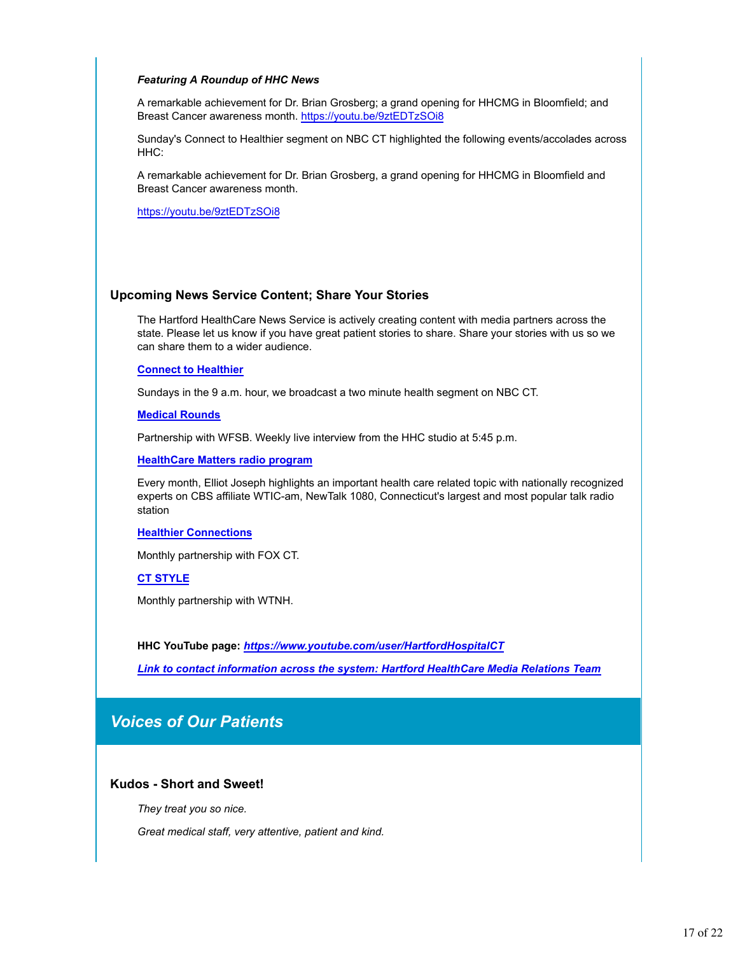#### *Featuring A Roundup of HHC News*

A remarkable achievement for Dr. Brian Grosberg; a grand opening for HHCMG in Bloomfield; and Breast Cancer awareness month. https://youtu.be/9ztEDTzSOi8

Sunday's Connect to Healthier segment on NBC CT highlighted the following events/accolades across HHC:

A remarkable achievement for Dr. Brian Grosberg, a grand opening for HHCMG in Bloomfield and Breast Cancer awareness month.

https://youtu.be/9ztEDTzSOi8

#### **Upcoming News Service Content; Share Your Stories**

The Hartford HealthCare News Service is actively creating content with media partners across the state. Please let us know if you have great patient stories to share. Share your stories with us so we can share them to a wider audience.

#### **Connect to Healthier**

Sundays in the 9 a.m. hour, we broadcast a two minute health segment on NBC CT.

#### **Medical Rounds**

Partnership with WFSB. Weekly live interview from the HHC studio at 5:45 p.m.

**HealthCare Matters radio program**

Every month, Elliot Joseph highlights an important health care related topic with nationally recognized experts on CBS affiliate WTIC-am, NewTalk 1080, Connecticut's largest and most popular talk radio station

#### **Healthier Connections**

Monthly partnership with FOX CT.

#### **CT STYLE**

Monthly partnership with WTNH.

**HHC YouTube page:** *https://www.youtube.com/user/HartfordHospitalCT*

*Link to contact information across the system: Hartford HealthCare Media Relations Team*

### *Voices of Our Patients*

#### **Kudos - Short and Sweet!**

*They treat you so nice.*

*Great medical staff, very attentive, patient and kind.*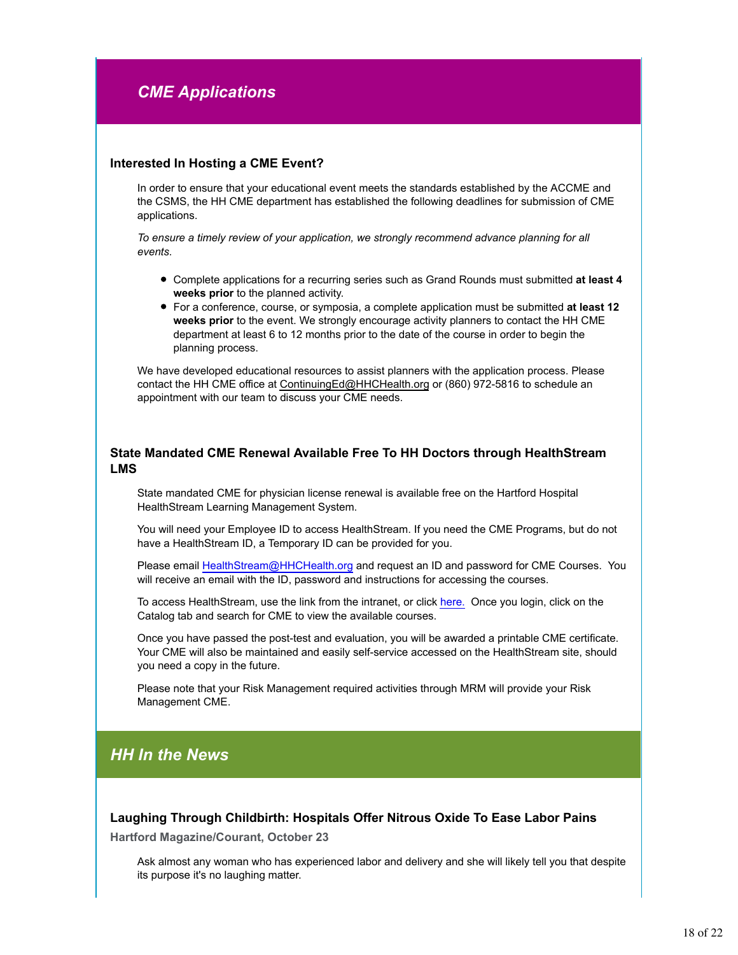## *CME Applications*

#### **Interested In Hosting a CME Event?**

In order to ensure that your educational event meets the standards established by the ACCME and the CSMS, the HH CME department has established the following deadlines for submission of CME applications.

*To ensure a timely review of your application, we strongly recommend advance planning for all events.* 

- Complete applications for a recurring series such as Grand Rounds must submitted **at least 4 weeks prior** to the planned activity.
- For a conference, course, or symposia, a complete application must be submitted **at least 12 weeks prior** to the event. We strongly encourage activity planners to contact the HH CME department at least 6 to 12 months prior to the date of the course in order to begin the planning process.

We have developed educational resources to assist planners with the application process. Please contact the HH CME office at ContinuingEd@HHCHealth.org or (860) 972-5816 to schedule an appointment with our team to discuss your CME needs.

#### **State Mandated CME Renewal Available Free To HH Doctors through HealthStream LMS**

State mandated CME for physician license renewal is available free on the Hartford Hospital HealthStream Learning Management System.

You will need your Employee ID to access HealthStream. If you need the CME Programs, but do not have a HealthStream ID, a Temporary ID can be provided for you.

Please email HealthStream@HHCHealth.org and request an ID and password for CME Courses. You will receive an email with the ID, password and instructions for accessing the courses.

To access HealthStream, use the link from the intranet, or click here. Once you login, click on the Catalog tab and search for CME to view the available courses.

Once you have passed the post-test and evaluation, you will be awarded a printable CME certificate. Your CME will also be maintained and easily self-service accessed on the HealthStream site, should you need a copy in the future.

Please note that your Risk Management required activities through MRM will provide your Risk Management CME.

### *HH In the News*

**Laughing Through Childbirth: Hospitals Offer Nitrous Oxide To Ease Labor Pains**

**Hartford Magazine/Courant, October 23**

Ask almost any woman who has experienced labor and delivery and she will likely tell you that despite its purpose it's no laughing matter.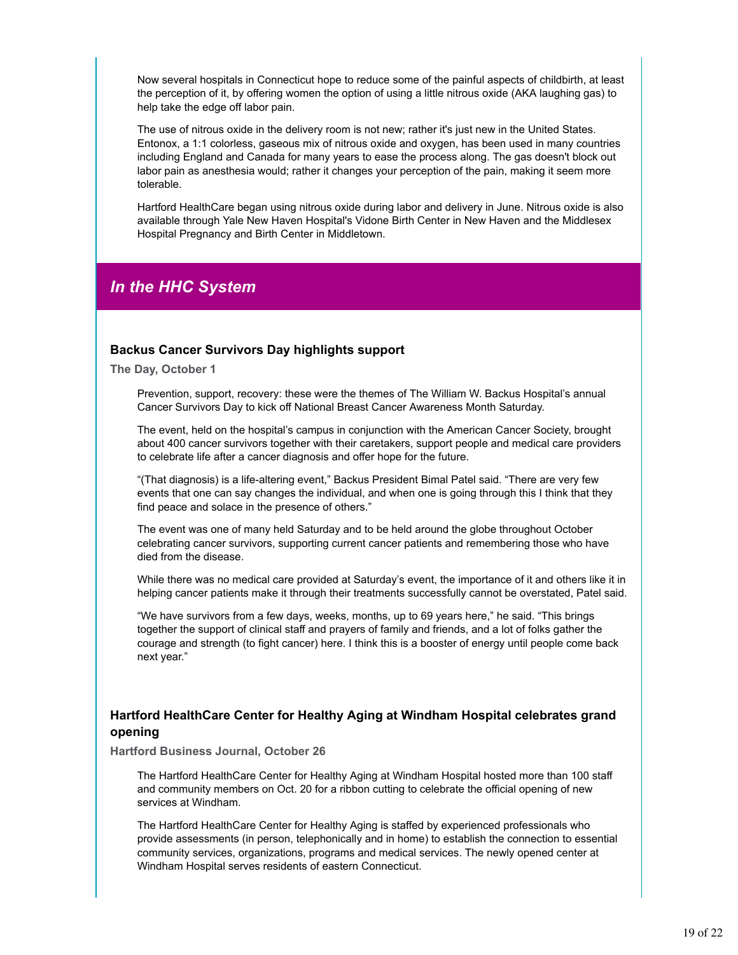Now several hospitals in Connecticut hope to reduce some of the painful aspects of childbirth, at least the perception of it, by offering women the option of using a little nitrous oxide (AKA laughing gas) to help take the edge off labor pain.

The use of nitrous oxide in the delivery room is not new; rather it's just new in the United States. Entonox, a 1:1 colorless, gaseous mix of nitrous oxide and oxygen, has been used in many countries including England and Canada for many years to ease the process along. The gas doesn't block out labor pain as anesthesia would; rather it changes your perception of the pain, making it seem more tolerable.

Hartford HealthCare began using nitrous oxide during labor and delivery in June. Nitrous oxide is also available through Yale New Haven Hospital's Vidone Birth Center in New Haven and the Middlesex Hospital Pregnancy and Birth Center in Middletown.

### *In the HHC System*

#### **Backus Cancer Survivors Day highlights support**

**The Day, October 1**

Prevention, support, recovery: these were the themes of The William W. Backus Hospital's annual Cancer Survivors Day to kick off National Breast Cancer Awareness Month Saturday.

The event, held on the hospital's campus in conjunction with the American Cancer Society, brought about 400 cancer survivors together with their caretakers, support people and medical care providers to celebrate life after a cancer diagnosis and offer hope for the future.

"(That diagnosis) is a life-altering event," Backus President Bimal Patel said. "There are very few events that one can say changes the individual, and when one is going through this I think that they find peace and solace in the presence of others."

The event was one of many held Saturday and to be held around the globe throughout October celebrating cancer survivors, supporting current cancer patients and remembering those who have died from the disease.

While there was no medical care provided at Saturday's event, the importance of it and others like it in helping cancer patients make it through their treatments successfully cannot be overstated, Patel said.

"We have survivors from a few days, weeks, months, up to 69 years here," he said. "This brings together the support of clinical staff and prayers of family and friends, and a lot of folks gather the courage and strength (to fight cancer) here. I think this is a booster of energy until people come back next year."

#### **Hartford HealthCare Center for Healthy Aging at Windham Hospital celebrates grand opening**

#### **Hartford Business Journal, October 26**

The Hartford HealthCare Center for Healthy Aging at Windham Hospital hosted more than 100 staff and community members on Oct. 20 for a ribbon cutting to celebrate the official opening of new services at Windham.

The Hartford HealthCare Center for Healthy Aging is staffed by experienced professionals who provide assessments (in person, telephonically and in home) to establish the connection to essential community services, organizations, programs and medical services. The newly opened center at Windham Hospital serves residents of eastern Connecticut.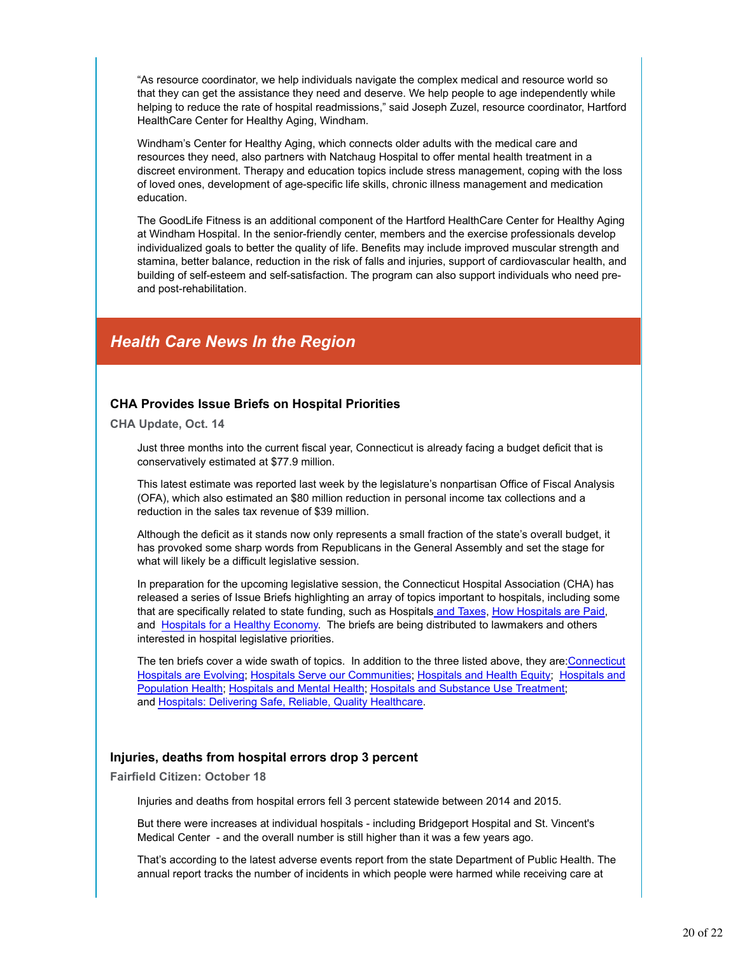"As resource coordinator, we help individuals navigate the complex medical and resource world so that they can get the assistance they need and deserve. We help people to age independently while helping to reduce the rate of hospital readmissions," said Joseph Zuzel, resource coordinator, Hartford HealthCare Center for Healthy Aging, Windham.

Windham's Center for Healthy Aging, which connects older adults with the medical care and resources they need, also partners with Natchaug Hospital to offer mental health treatment in a discreet environment. Therapy and education topics include stress management, coping with the loss of loved ones, development of age-specific life skills, chronic illness management and medication education.

The GoodLife Fitness is an additional component of the Hartford HealthCare Center for Healthy Aging at Windham Hospital. In the senior-friendly center, members and the exercise professionals develop individualized goals to better the quality of life. Benefits may include improved muscular strength and stamina, better balance, reduction in the risk of falls and injuries, support of cardiovascular health, and building of self-esteem and self-satisfaction. The program can also support individuals who need preand post-rehabilitation.

### *Health Care News In the Region*

#### **CHA Provides Issue Briefs on Hospital Priorities**

**CHA Update, Oct. 14**

Just three months into the current fiscal year, Connecticut is already facing a budget deficit that is conservatively estimated at \$77.9 million.

This latest estimate was reported last week by the legislature's nonpartisan Office of Fiscal Analysis (OFA), which also estimated an \$80 million reduction in personal income tax collections and a reduction in the sales tax revenue of \$39 million.

Although the deficit as it stands now only represents a small fraction of the state's overall budget, it has provoked some sharp words from Republicans in the General Assembly and set the stage for what will likely be a difficult legislative session.

In preparation for the upcoming legislative session, the Connecticut Hospital Association (CHA) has released a series of Issue Briefs highlighting an array of topics important to hospitals, including some that are specifically related to state funding, such as Hospitals and Taxes, How Hospitals are Paid, and Hospitals for a Healthy Economy. The briefs are being distributed to lawmakers and others interested in hospital legislative priorities.

The ten briefs cover a wide swath of topics. In addition to the three listed above, they are:Connecticut Hospitals are Evolving; Hospitals Serve our Communities; Hospitals and Health Equity; Hospitals and Population Health; Hospitals and Mental Health; Hospitals and Substance Use Treatment; and Hospitals: Delivering Safe, Reliable, Quality Healthcare.

#### **Injuries, deaths from hospital errors drop 3 percent**

**Fairfield Citizen: October 18**

Injuries and deaths from hospital errors fell 3 percent statewide between 2014 and 2015.

But there were increases at individual hospitals - including Bridgeport Hospital and St. Vincent's Medical Center - and the overall number is still higher than it was a few years ago.

That's according to the latest adverse events report from the state Department of Public Health. The annual report tracks the number of incidents in which people were harmed while receiving care at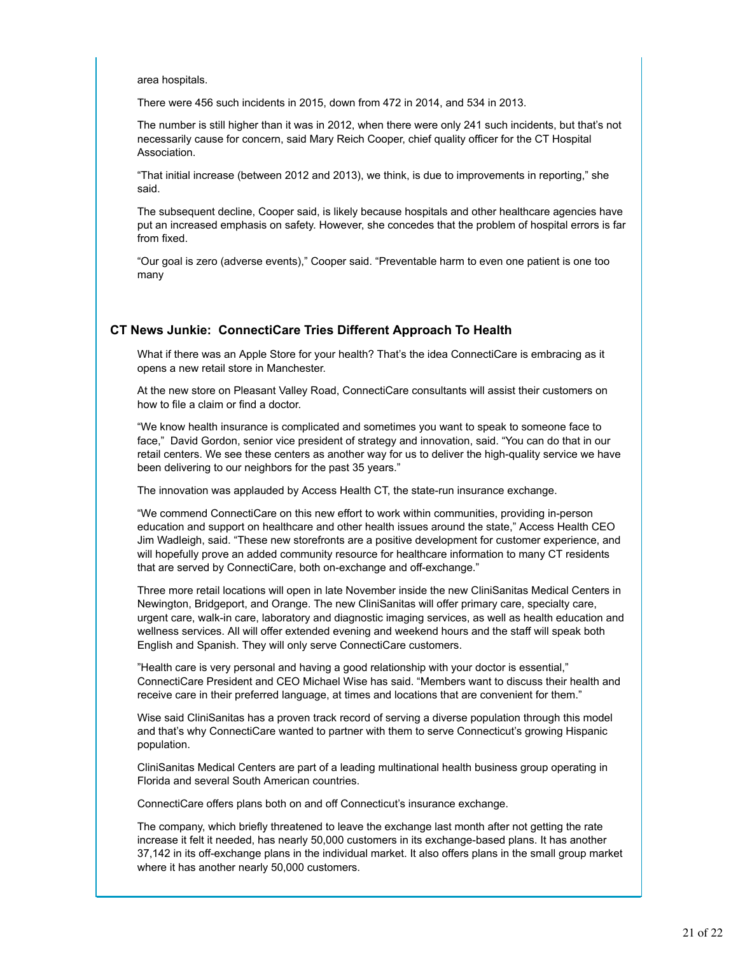area hospitals.

There were 456 such incidents in 2015, down from 472 in 2014, and 534 in 2013.

The number is still higher than it was in 2012, when there were only 241 such incidents, but that's not necessarily cause for concern, said Mary Reich Cooper, chief quality officer for the CT Hospital Association.

"That initial increase (between 2012 and 2013), we think, is due to improvements in reporting," she said.

The subsequent decline, Cooper said, is likely because hospitals and other healthcare agencies have put an increased emphasis on safety. However, she concedes that the problem of hospital errors is far from fixed.

"Our goal is zero (adverse events)," Cooper said. "Preventable harm to even one patient is one too many

#### **CT News Junkie: ConnectiCare Tries Different Approach To Health**

What if there was an Apple Store for your health? That's the idea ConnectiCare is embracing as it opens a new retail store in Manchester.

At the new store on Pleasant Valley Road, ConnectiCare consultants will assist their customers on how to file a claim or find a doctor.

"We know health insurance is complicated and sometimes you want to speak to someone face to face," David Gordon, senior vice president of strategy and innovation, said. "You can do that in our retail centers. We see these centers as another way for us to deliver the high-quality service we have been delivering to our neighbors for the past 35 years."

The innovation was applauded by Access Health CT, the state-run insurance exchange.

"We commend ConnectiCare on this new effort to work within communities, providing in-person education and support on healthcare and other health issues around the state," Access Health CEO Jim Wadleigh, said. "These new storefronts are a positive development for customer experience, and will hopefully prove an added community resource for healthcare information to many CT residents that are served by ConnectiCare, both on-exchange and off-exchange."

Three more retail locations will open in late November inside the new CliniSanitas Medical Centers in Newington, Bridgeport, and Orange. The new CliniSanitas will offer primary care, specialty care, urgent care, walk-in care, laboratory and diagnostic imaging services, as well as health education and wellness services. All will offer extended evening and weekend hours and the staff will speak both English and Spanish. They will only serve ConnectiCare customers.

"Health care is very personal and having a good relationship with your doctor is essential," ConnectiCare President and CEO Michael Wise has said. "Members want to discuss their health and receive care in their preferred language, at times and locations that are convenient for them."

Wise said CliniSanitas has a proven track record of serving a diverse population through this model and that's why ConnectiCare wanted to partner with them to serve Connecticut's growing Hispanic population.

CliniSanitas Medical Centers are part of a leading multinational health business group operating in Florida and several South American countries.

ConnectiCare offers plans both on and off Connecticut's insurance exchange.

The company, which briefly threatened to leave the exchange last month after not getting the rate increase it felt it needed, has nearly 50,000 customers in its exchange-based plans. It has another 37,142 in its off-exchange plans in the individual market. It also offers plans in the small group market where it has another nearly 50,000 customers.